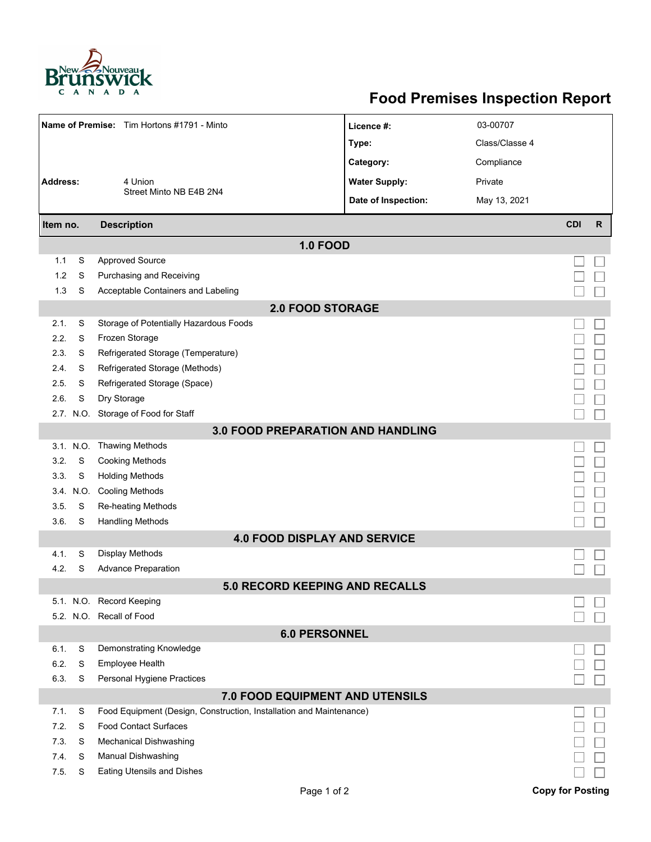

## **Food Premises Inspection Report**

| Name of Premise: Tim Hortons #1791 - Minto |           |                                                                     | Licence #:                          | 03-00707       |                         |              |  |  |  |  |
|--------------------------------------------|-----------|---------------------------------------------------------------------|-------------------------------------|----------------|-------------------------|--------------|--|--|--|--|
|                                            |           |                                                                     | Type:                               | Class/Classe 4 |                         |              |  |  |  |  |
|                                            |           |                                                                     | Category:                           | Compliance     |                         |              |  |  |  |  |
| <b>Address:</b>                            |           | 4 Union                                                             | <b>Water Supply:</b>                | Private        |                         |              |  |  |  |  |
|                                            |           | Street Minto NB E4B 2N4                                             | Date of Inspection:                 | May 13, 2021   |                         |              |  |  |  |  |
|                                            |           |                                                                     |                                     |                |                         |              |  |  |  |  |
| <b>Description</b><br>Item no.             |           |                                                                     |                                     |                | <b>CDI</b>              | $\mathsf{R}$ |  |  |  |  |
|                                            |           |                                                                     | <b>1.0 FOOD</b>                     |                |                         |              |  |  |  |  |
| 1.1                                        | S         | <b>Approved Source</b>                                              |                                     |                |                         |              |  |  |  |  |
| 1.2                                        | S         | Purchasing and Receiving                                            |                                     |                |                         |              |  |  |  |  |
| 1.3                                        | S         | Acceptable Containers and Labeling                                  |                                     |                |                         |              |  |  |  |  |
| <b>2.0 FOOD STORAGE</b>                    |           |                                                                     |                                     |                |                         |              |  |  |  |  |
| 2.1.                                       | S         | Storage of Potentially Hazardous Foods                              |                                     |                |                         |              |  |  |  |  |
| 2.2.                                       | S         | Frozen Storage                                                      |                                     |                |                         |              |  |  |  |  |
| 2.3.                                       | S         | Refrigerated Storage (Temperature)                                  |                                     |                |                         |              |  |  |  |  |
| 2.4.                                       | S         | Refrigerated Storage (Methods)                                      |                                     |                |                         |              |  |  |  |  |
| 2.5.                                       | S         | Refrigerated Storage (Space)                                        |                                     |                |                         |              |  |  |  |  |
| 2.6.                                       | S         | Dry Storage                                                         |                                     |                |                         |              |  |  |  |  |
|                                            |           | 2.7. N.O. Storage of Food for Staff                                 |                                     |                |                         |              |  |  |  |  |
| <b>3.0 FOOD PREPARATION AND HANDLING</b>   |           |                                                                     |                                     |                |                         |              |  |  |  |  |
|                                            | 3.1. N.O. | <b>Thawing Methods</b>                                              |                                     |                |                         |              |  |  |  |  |
| 3.2.                                       | S         | <b>Cooking Methods</b>                                              |                                     |                |                         |              |  |  |  |  |
| 3.3.                                       | S         | <b>Holding Methods</b>                                              |                                     |                |                         |              |  |  |  |  |
|                                            | 3.4. N.O. | <b>Cooling Methods</b>                                              |                                     |                |                         |              |  |  |  |  |
| 3.5.                                       | S         | Re-heating Methods                                                  |                                     |                |                         |              |  |  |  |  |
| 3.6.                                       | S         | <b>Handling Methods</b>                                             |                                     |                |                         |              |  |  |  |  |
|                                            |           |                                                                     | <b>4.0 FOOD DISPLAY AND SERVICE</b> |                |                         |              |  |  |  |  |
| 4.1.                                       | S         | Display Methods                                                     |                                     |                |                         |              |  |  |  |  |
| 4.2.                                       | S         | <b>Advance Preparation</b>                                          |                                     |                |                         |              |  |  |  |  |
| <b>5.0 RECORD KEEPING AND RECALLS</b>      |           |                                                                     |                                     |                |                         |              |  |  |  |  |
|                                            |           | 5.1. N.O. Record Keeping                                            |                                     |                |                         |              |  |  |  |  |
|                                            |           | 5.2. N.O. Recall of Food                                            |                                     |                |                         |              |  |  |  |  |
| <b>6.0 PERSONNEL</b>                       |           |                                                                     |                                     |                |                         |              |  |  |  |  |
| 6.1.                                       | S         | Demonstrating Knowledge                                             |                                     |                |                         |              |  |  |  |  |
| 6.2.                                       | S         | <b>Employee Health</b>                                              |                                     |                |                         |              |  |  |  |  |
| 6.3.                                       | S         | Personal Hygiene Practices                                          |                                     |                |                         |              |  |  |  |  |
| 7.0 FOOD EQUIPMENT AND UTENSILS            |           |                                                                     |                                     |                |                         |              |  |  |  |  |
| 7.1.                                       | S         | Food Equipment (Design, Construction, Installation and Maintenance) |                                     |                |                         |              |  |  |  |  |
| 7.2.                                       | S         | <b>Food Contact Surfaces</b>                                        |                                     |                |                         |              |  |  |  |  |
| 7.3.                                       | S         | <b>Mechanical Dishwashing</b>                                       |                                     |                |                         |              |  |  |  |  |
| 7.4.                                       | S         | Manual Dishwashing                                                  |                                     |                |                         |              |  |  |  |  |
| 7.5.                                       | S         | Eating Utensils and Dishes                                          |                                     |                |                         |              |  |  |  |  |
|                                            |           |                                                                     | Page 1 of 2                         |                | <b>Copy for Posting</b> |              |  |  |  |  |